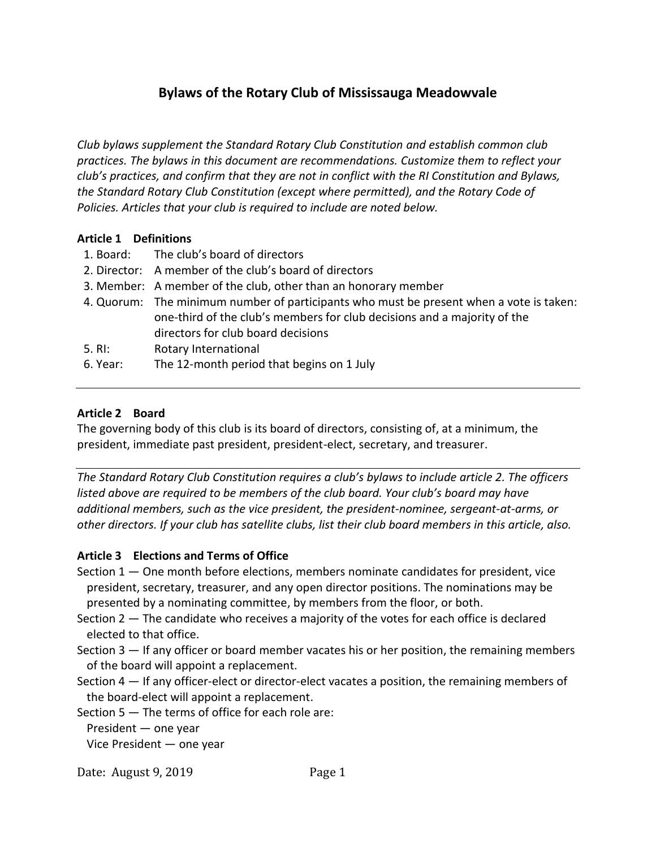# **Bylaws of the Rotary Club of Mississauga Meadowvale**

*Club bylaws supplement the Standard Rotary Club Constitution and establish common club practices. The bylaws in this document are recommendations. Customize them to reflect your club's practices, and confirm that they are not in conflict with the RI Constitution and Bylaws, the Standard Rotary Club Constitution (except where permitted), and the Rotary Code of Policies. Articles that your club is required to include are noted below.*

## **Article 1 Definitions**

- 1. Board: The club's board of directors
- 2. Director: A member of the club's board of directors
- 3. Member: A member of the club, other than an honorary member
- 4. Quorum: The minimum number of participants who must be present when a vote is taken: one-third of the club's members for club decisions and a majority of the directors for club board decisions
- 5. RI: Rotary International
- 6. Year: The 12-month period that begins on 1 July

## **Article 2 Board**

The governing body of this club is its board of directors, consisting of, at a minimum, the president, immediate past president, president-elect, secretary, and treasurer.

*The Standard Rotary Club Constitution requires a club's bylaws to include article 2. The officers listed above are required to be members of the club board. Your club's board may have additional members, such as the vice president, the president-nominee, sergeant-at-arms, or other directors. If your club has satellite clubs, list their club board members in this article, also.*

# **Article 3 Elections and Terms of Office**

Section 1 — One month before elections, members nominate candidates for president, vice president, secretary, treasurer, and any open director positions. The nominations may be presented by a nominating committee, by members from the floor, or both.

- Section 2 The candidate who receives a majority of the votes for each office is declared elected to that office.
- Section 3 If any officer or board member vacates his or her position, the remaining members of the board will appoint a replacement.
- Section 4 If any officer-elect or director-elect vacates a position, the remaining members of the board-elect will appoint a replacement.

Section 5 — The terms of office for each role are:

President — one year

Vice President — one year

Date: August 9, 2019 Page 1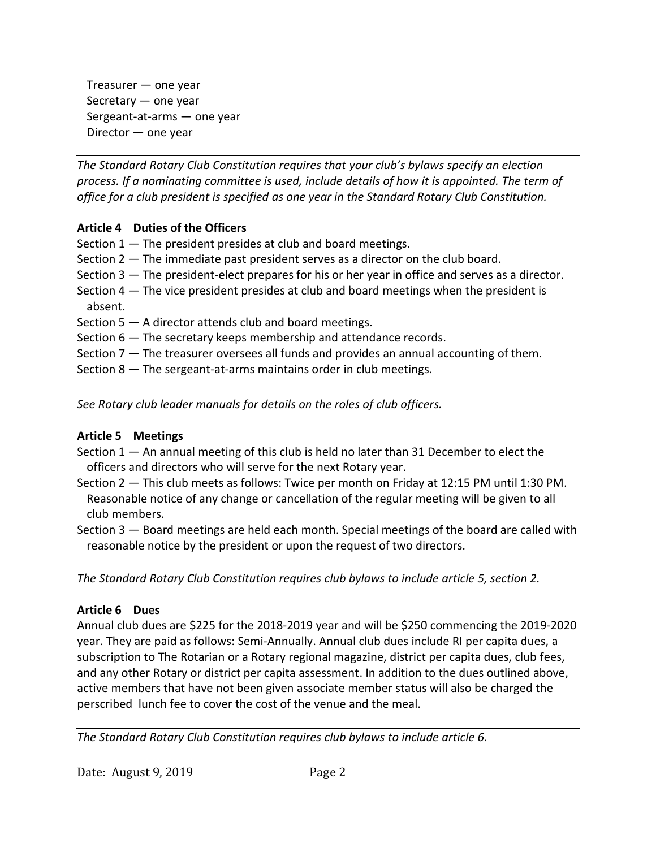Treasurer — one year Secretary — one year Sergeant-at-arms — one year Director — one year

*The Standard Rotary Club Constitution requires that your club's bylaws specify an election process. If a nominating committee is used, include details of how it is appointed. The term of office for a club president is specified as one year in the Standard Rotary Club Constitution.*

## **Article 4 Duties of the Officers**

- Section  $1 -$  The president presides at club and board meetings.
- Section 2 The immediate past president serves as a director on the club board.
- Section 3 The president-elect prepares for his or her year in office and serves as a director.
- Section 4 The vice president presides at club and board meetings when the president is absent.
- Section  $5 A$  director attends club and board meetings.
- Section 6 The secretary keeps membership and attendance records.
- Section 7 The treasurer oversees all funds and provides an annual accounting of them.
- Section 8 The sergeant-at-arms maintains order in club meetings.

*See Rotary club leader manuals for details on the roles of club officers.*

## **Article 5 Meetings**

- Section 1 An annual meeting of this club is held no later than 31 December to elect the officers and directors who will serve for the next Rotary year.
- Section 2 This club meets as follows: Twice per month on Friday at 12:15 PM until 1:30 PM. Reasonable notice of any change or cancellation of the regular meeting will be given to all club members.

Section 3 — Board meetings are held each month. Special meetings of the board are called with reasonable notice by the president or upon the request of two directors.

*The Standard Rotary Club Constitution requires club bylaws to include article 5, section 2.*

## **Article 6 Dues**

Annual club dues are \$225 for the 2018-2019 year and will be \$250 commencing the 2019-2020 year. They are paid as follows: Semi-Annually. Annual club dues include RI per capita dues, a subscription to The Rotarian or a Rotary regional magazine, district per capita dues, club fees, and any other Rotary or district per capita assessment. In addition to the dues outlined above, active members that have not been given associate member status will also be charged the perscribed lunch fee to cover the cost of the venue and the meal.

*The Standard Rotary Club Constitution requires club bylaws to include article 6.*

Date: August 9, 2019 Page 2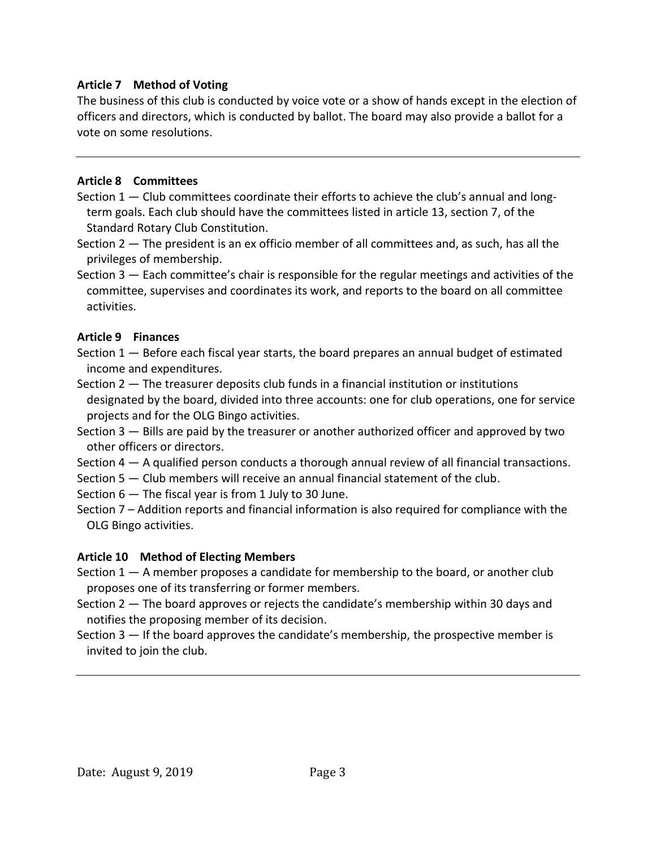# **Article 7 Method of Voting**

The business of this club is conducted by voice vote or a show of hands except in the election of officers and directors, which is conducted by ballot. The board may also provide a ballot for a vote on some resolutions.

## **Article 8 Committees**

- Section 1 Club committees coordinate their efforts to achieve the club's annual and longterm goals. Each club should have the committees listed in article 13, section 7, of the Standard Rotary Club Constitution.
- Section 2 The president is an ex officio member of all committees and, as such, has all the privileges of membership.

Section 3 — Each committee's chair is responsible for the regular meetings and activities of the committee, supervises and coordinates its work, and reports to the board on all committee activities.

## **Article 9 Finances**

Section 1 — Before each fiscal year starts, the board prepares an annual budget of estimated income and expenditures.

- Section 2 The treasurer deposits club funds in a financial institution or institutions designated by the board, divided into three accounts: one for club operations, one for service projects and for the OLG Bingo activities.
- Section 3 Bills are paid by the treasurer or another authorized officer and approved by two other officers or directors.
- Section 4 A qualified person conducts a thorough annual review of all financial transactions.
- Section 5 Club members will receive an annual financial statement of the club.
- Section 6 The fiscal year is from 1 July to 30 June.
- Section 7 Addition reports and financial information is also required for compliance with the OLG Bingo activities.

## **Article 10 Method of Electing Members**

Section 1 — A member proposes a candidate for membership to the board, or another club proposes one of its transferring or former members.

Section 2 — The board approves or rejects the candidate's membership within 30 days and notifies the proposing member of its decision.

Section 3 — If the board approves the candidate's membership, the prospective member is invited to join the club.